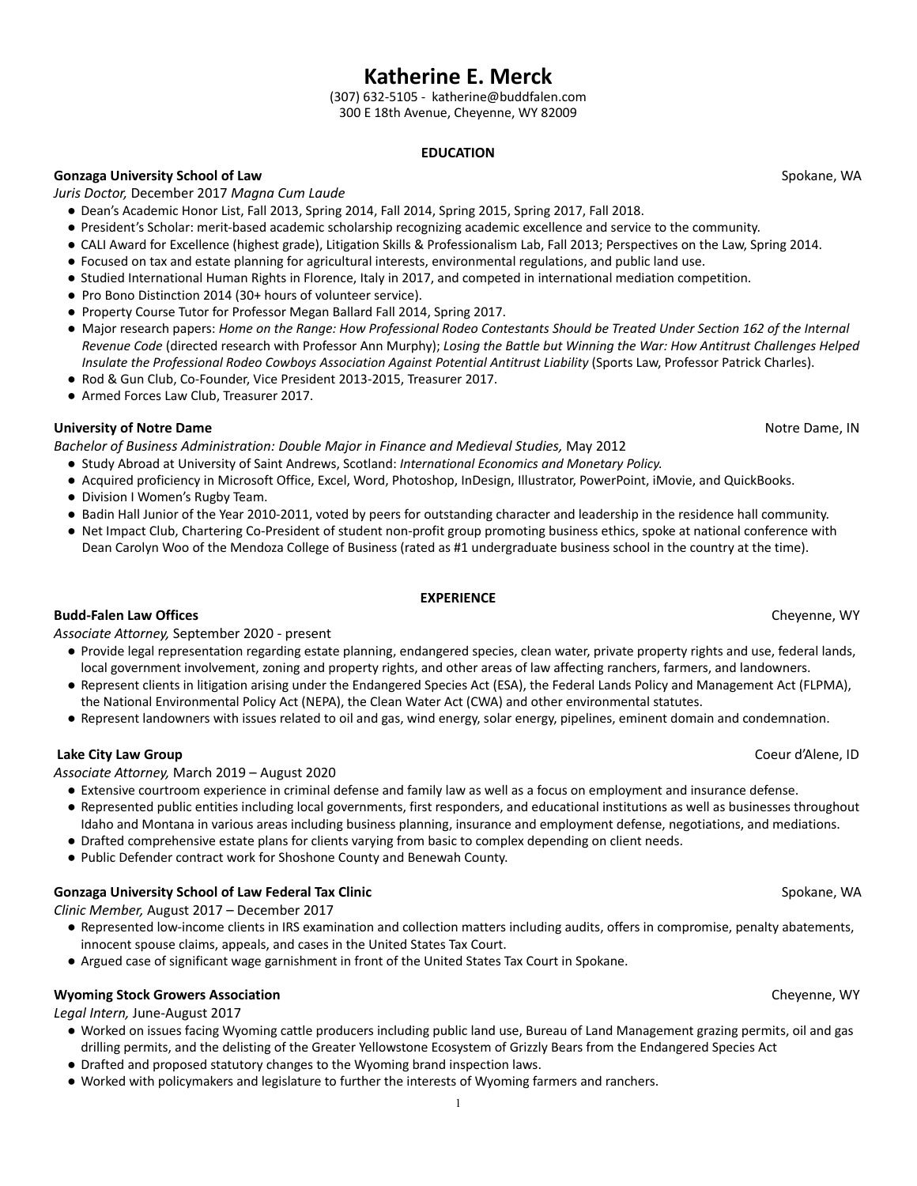# **Katherine E. Merck**

(307) 632-5105 - katherine@buddfalen.com 300 E 18th Avenue, Cheyenne, WY 82009

#### **EDUCATION**

#### **Gonzaga University School of Law** Spokane, WA

*Juris Doctor,* December 2017 *Magna Cum Laude*

- Dean's Academic Honor List, Fall 2013, Spring 2014, Fall 2014, Spring 2015, Spring 2017, Fall 2018.
- President's Scholar: merit-based academic scholarship recognizing academic excellence and service to the community.
- CALI Award for Excellence (highest grade), Litigation Skills & Professionalism Lab, Fall 2013; Perspectives on the Law, Spring 2014.
- Focused on tax and estate planning for agricultural interests, environmental regulations, and public land use.
- Studied International Human Rights in Florence, Italy in 2017, and competed in international mediation competition.
- Pro Bono Distinction 2014 (30+ hours of volunteer service).
- Property Course Tutor for Professor Megan Ballard Fall 2014, Spring 2017.
- Major research papers: Home on the Range: How Professional Rodeo Contestants Should be Treated Under Section 162 of the Internal *Revenue Code* (directed research with Professor Ann Murphy); *Losing the Battle but Winning the War: How Antitrust Challenges Helped Insulate the Professional Rodeo Cowboys Association Against Potential Antitrust Liability* (Sports Law, Professor Patrick Charles).
- Rod & Gun Club, Co-Founder, Vice President 2013-2015, Treasurer 2017.
- Armed Forces Law Club, Treasurer 2017.

### **University of Notre Dame** Notre Dame, IN

*Bachelor of Business Administration: Double Major in Finance and Medieval Studies,* May 2012

● Study Abroad at University of Saint Andrews, Scotland: *International Economics and Monetary Policy.*

- Acquired proficiency in Microsoft Office, Excel, Word, Photoshop, InDesign, Illustrator, PowerPoint, iMovie, and QuickBooks.
- Division I Women's Rugby Team.
- Badin Hall Junior of the Year 2010-2011, voted by peers for outstanding character and leadership in the residence hall community.
- Net Impact Club, Chartering Co-President of student non-profit group promoting business ethics, spoke at national conference with Dean Carolyn Woo of the Mendoza College of Business (rated as #1 undergraduate business school in the country at the time).

### **Budd-Falen Law Offices** Cheyenne, WY

*Associate Attorney,* September 2020 - present

● Provide legal representation regarding estate planning, endangered species, clean water, private property rights and use, federal lands, local government involvement, zoning and property rights, and other areas of law affecting ranchers, farmers, and landowners.

**EXPERIENCE**

- Represent clients in litigation arising under the Endangered Species Act (ESA), the Federal Lands Policy and Management Act (FLPMA), the National Environmental Policy Act (NEPA), the Clean Water Act (CWA) and other environmental statutes.
- Represent landowners with issues related to oil and gas, wind energy, solar energy, pipelines, eminent domain and condemnation.

### **Lake City Law Group** Coeur d'Alene, ID

#### *Associate Attorney,* March 2019 – August 2020

- *●* Extensive courtroom experience in criminal defense and family law as well as a focus on employment and insurance defense.
- *●* Represented public entities including local governments, first responders, and educational institutions as well as businesses throughout Idaho and Montana in various areas including business planning, insurance and employment defense, negotiations, and mediations.
- Drafted comprehensive estate plans for clients varying from basic to complex depending on client needs.
- *●* Public Defender contract work for Shoshone County and Benewah County.

### **Gonzaga University School of Law Federal Tax Clinic** Spokane, WA

*Clinic Member,* August 2017 – December 2017

- Represented low-income clients in IRS examination and collection matters including audits, offers in compromise, penalty abatements, innocent spouse claims, appeals, and cases in the United States Tax Court.
- *●* Argued case of significant wage garnishment in front of the United States Tax Court in Spokane.

# **Wyoming Stock Growers Association** Cheyenne, WY

*Legal Intern,* June-August 2017

- Worked on issues facing Wyoming cattle producers including public land use, Bureau of Land Management grazing permits, oil and gas drilling permits, and the delisting of the Greater Yellowstone Ecosystem of Grizzly Bears from the Endangered Species Act
- *●* Drafted and proposed statutory changes to the Wyoming brand inspection laws.
- *●* Worked with policymakers and legislature to further the interests of Wyoming farmers and ranchers.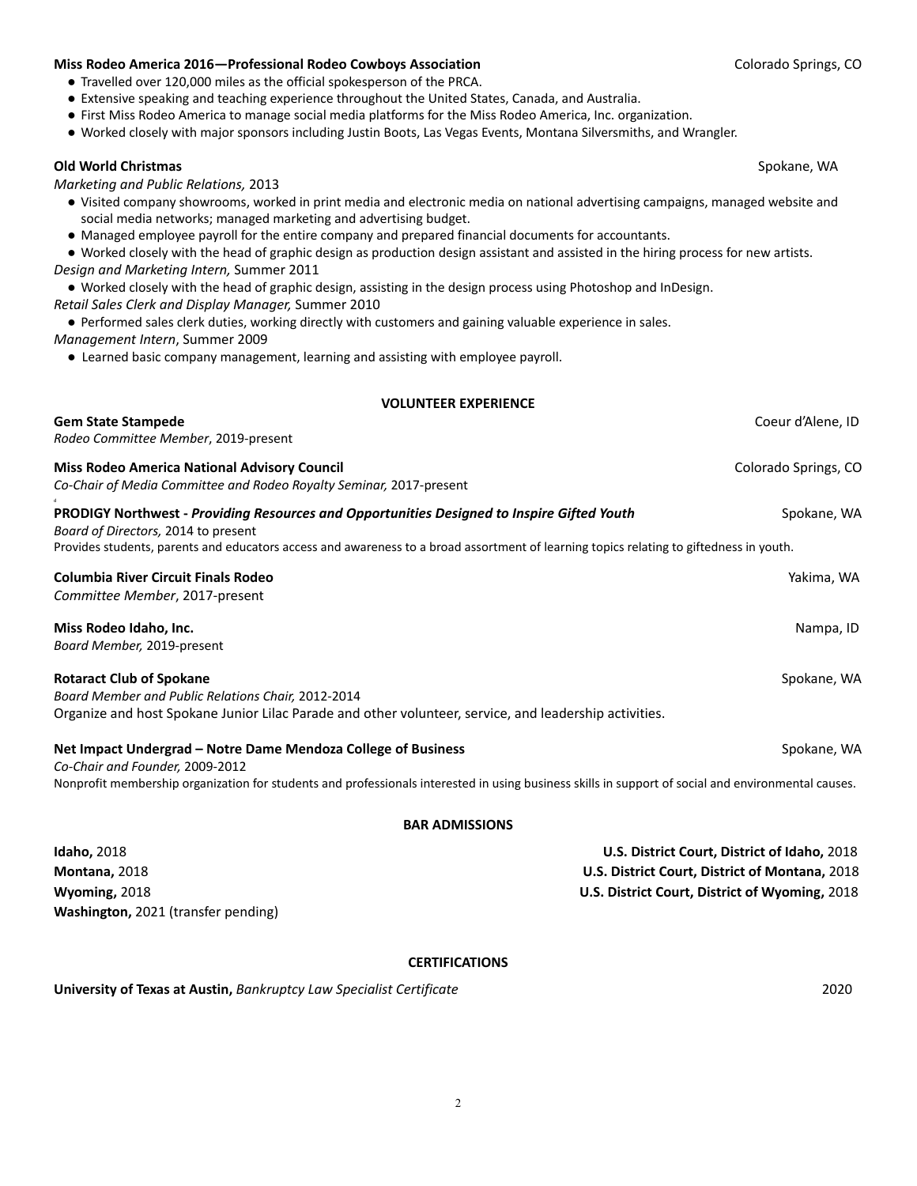### **Miss Rodeo America 2016—Professional Rodeo Cowboys Association** Colorado Springs, CO

- Travelled over 120,000 miles as the official spokesperson of the PRCA.
- Extensive speaking and teaching experience throughout the United States, Canada, and Australia.
- First Miss Rodeo America to manage social media platforms for the Miss Rodeo America, Inc. organization.
- Worked closely with major sponsors including Justin Boots, Las Vegas Events, Montana Silversmiths, and Wrangler.

#### **Old World Christmas** Spokane, WA

*Marketing and Public Relations,* 2013

- **●** Visited company showrooms, worked in print media and electronic media on national advertising campaigns, managed website and social media networks; managed marketing and advertising budget.
- **●** Managed employee payroll for the entire company and prepared financial documents for accountants.
- **●** Worked closely with the head of graphic design as production design assistant and assisted in the hiring process for new artists.

*Design and Marketing Intern,* Summer 2011

● Worked closely with the head of graphic design, assisting in the design process using Photoshop and InDesign.

*Retail Sales Clerk and Display Manager,* Summer 2010

● Performed sales clerk duties, working directly with customers and gaining valuable experience in sales.

*Management Intern*, Summer 2009

● Learned basic company management, learning and assisting with employee payroll.

# *Rodeo Committee Member*, 2019-present **Miss Rodeo America National Advisory Council** Colorado Springs, CO *Co-Chair of Media Committee and Rodeo Royalty Seminar,* 2017-present d **PRODIGY Northwest -** *Providing Resources and Opportunities Designed to Inspire Gifted Youth* Spokane, WA *Board of Directors,* 2014 to present Provides students, parents and educators access and awareness to a broad assortment of learning topics relating to giftedness in youth. **Columbia River Circuit Finals Rodeo** Yakima, WA *Committee Member*, 2017-present **Miss Rodeo Idaho, Inc.** Nampa, ID *Board Member,* 2019-present

**VOLUNTEER EXPERIENCE Gem State Stampede** Coeur d'Alene, ID

**Rotaract Club of Spokane** Spokane Spokane, WA and Spokane, WA and Spokane, WA and Spokane, WA and Spokane, WA and Spokane, WA and Spokane, WA and Spokane, WA and Spokane, WA and Spokane, WA and Spokane, WA and Spokane, WA *Board Member and Public Relations Chair,* 2012-2014 Organize and host Spokane Junior Lilac Parade and other volunteer, service, and leadership activities.

## **Net Impact Undergrad – Notre Dame Mendoza College of Business** Spokane, WA

*Co-Chair and Founder,* 2009-2012 Nonprofit membership organization for students and professionals interested in using business skills in support of social and environmental causes.

#### **BAR ADMISSIONS**

**Idaho,** 2018 **U.S. District Court, District of Idaho,** 2018 **Montana,** 2018 **U.S. District Court, District of Montana,** 2018 **Wyoming,** 2018 **U.S. District Court, District of Wyoming,** 2018 **Washington,** 2021 (transfer pending)

### **CERTIFICATIONS**

**University of Texas at Austin,** *Bankruptcy Law Specialist Certificate* 2020